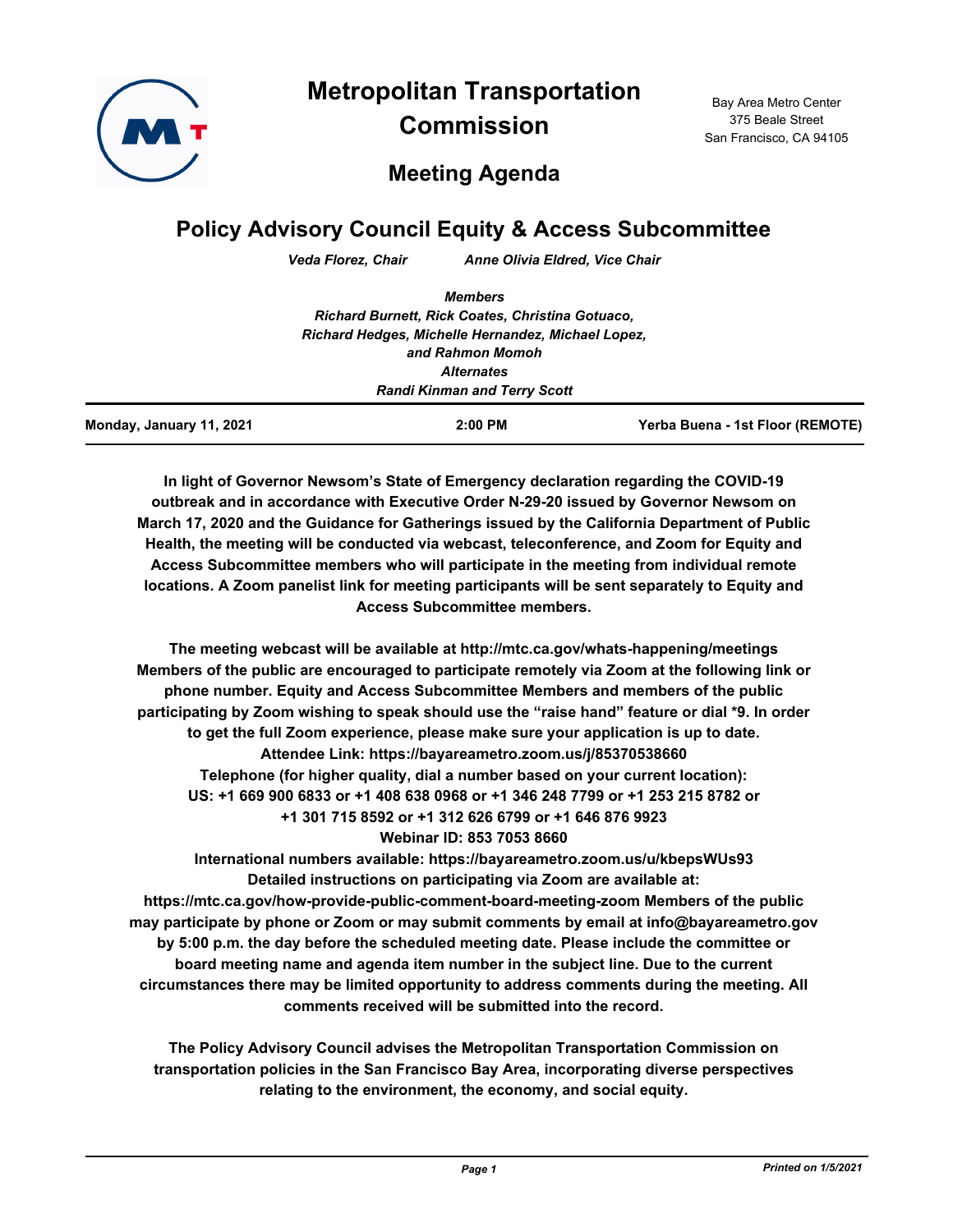

Bay Area Metro Center 375 Beale Street San Francisco, CA 94105

## **Meeting Agenda**

# **Policy Advisory Council Equity & Access Subcommittee**

*Veda Florez, Chair Anne Olivia Eldred, Vice Chair*

| Yerba Buena - 1st Floor (REMOTE)                                       |  |                                                  |
|------------------------------------------------------------------------|--|--------------------------------------------------|
| <b>Randi Kinman and Terry Scott</b>                                    |  |                                                  |
|                                                                        |  |                                                  |
| Richard Hedges, Michelle Hernandez, Michael Lopez,<br>and Rahmon Momoh |  |                                                  |
|                                                                        |  | Richard Burnett, Rick Coates, Christina Gotuaco, |
| <b>Members</b>                                                         |  |                                                  |
|                                                                        |  |                                                  |

**In light of Governor Newsom's State of Emergency declaration regarding the COVID-19 outbreak and in accordance with Executive Order N-29-20 issued by Governor Newsom on March 17, 2020 and the Guidance for Gatherings issued by the California Department of Public Health, the meeting will be conducted via webcast, teleconference, and Zoom for Equity and Access Subcommittee members who will participate in the meeting from individual remote locations. A Zoom panelist link for meeting participants will be sent separately to Equity and Access Subcommittee members.**

**The meeting webcast will be available at http://mtc.ca.gov/whats-happening/meetings Members of the public are encouraged to participate remotely via Zoom at the following link or phone number. Equity and Access Subcommittee Members and members of the public participating by Zoom wishing to speak should use the "raise hand" feature or dial \*9. In order to get the full Zoom experience, please make sure your application is up to date. Attendee Link: https://bayareametro.zoom.us/j/85370538660 Telephone (for higher quality, dial a number based on your current location): US: +1 669 900 6833 or +1 408 638 0968 or +1 346 248 7799 or +1 253 215 8782 or +1 301 715 8592 or +1 312 626 6799 or +1 646 876 9923 Webinar ID: 853 7053 8660**

**International numbers available: https://bayareametro.zoom.us/u/kbepsWUs93 Detailed instructions on participating via Zoom are available at: https://mtc.ca.gov/how-provide-public-comment-board-meeting-zoom Members of the public may participate by phone or Zoom or may submit comments by email at info@bayareametro.gov by 5:00 p.m. the day before the scheduled meeting date. Please include the committee or board meeting name and agenda item number in the subject line. Due to the current circumstances there may be limited opportunity to address comments during the meeting. All comments received will be submitted into the record.**

**The Policy Advisory Council advises the Metropolitan Transportation Commission on transportation policies in the San Francisco Bay Area, incorporating diverse perspectives relating to the environment, the economy, and social equity.**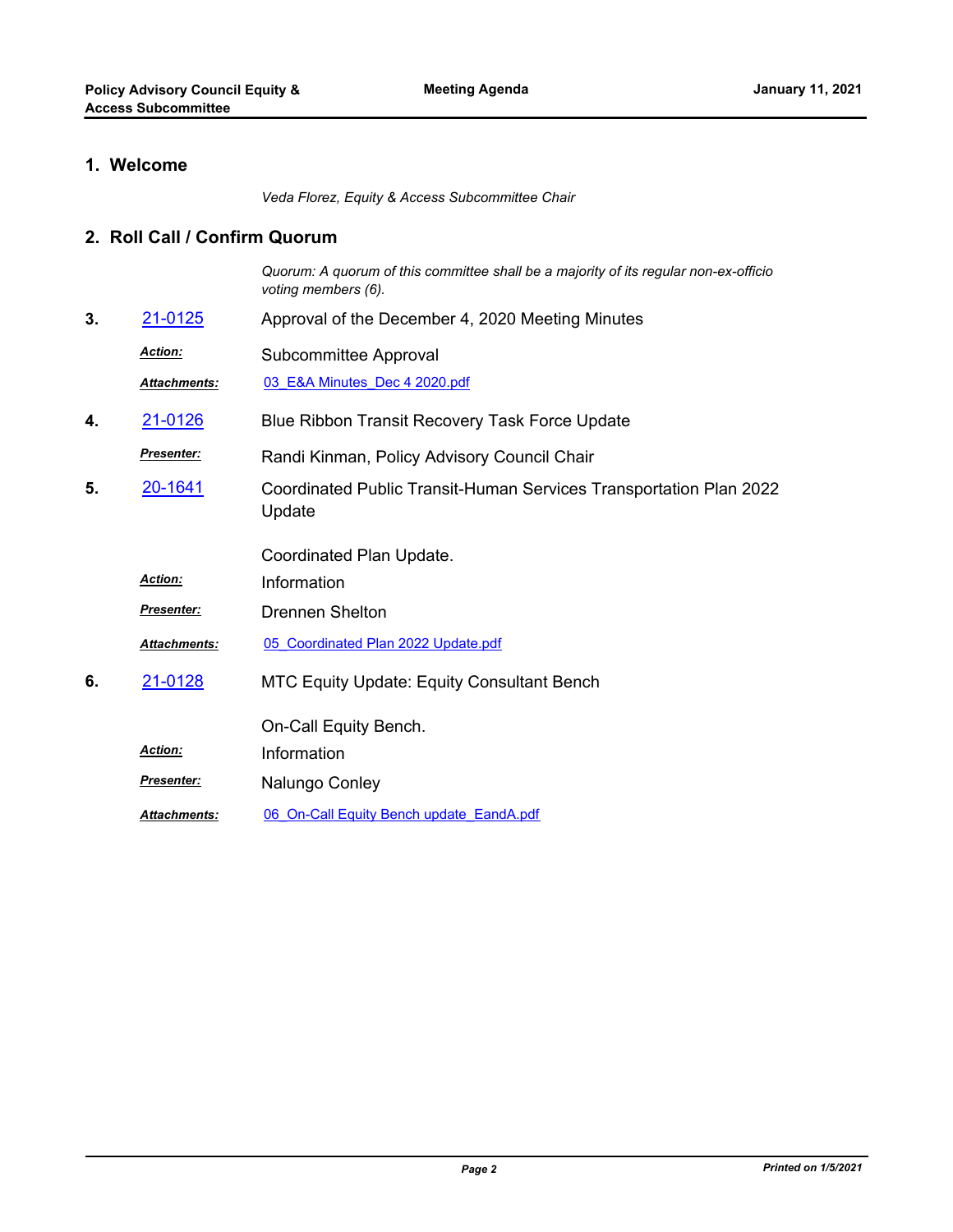### **1. Welcome**

*Veda Florez, Equity & Access Subcommittee Chair*

#### **2. Roll Call / Confirm Quorum**

*Quorum: A quorum of this committee shall be a majority of its regular non-ex-officio voting members (6).*

- **3.** [21-0125](http://mtc.legistar.com/gateway.aspx?m=l&id=/matter.aspx?key=21718) Approval of the December 4, 2020 Meeting Minutes
	- Subcommittee Approval *Action:*

*Attachments:* [03\\_E&A Minutes\\_Dec 4 2020.pdf](http://mtc.legistar.com/gateway.aspx?M=F&ID=ba4e0ee9-3367-4ddc-975f-33bfd8c379c7.pdf)

- **4.** [21-0126](http://mtc.legistar.com/gateway.aspx?m=l&id=/matter.aspx?key=21719) Blue Ribbon Transit Recovery Task Force Update
- Randi Kinman, Policy Advisory Council Chair *Presenter:*
- Coordinated Public Transit-Human Services Transportation Plan 2022 Update **5.** [20-1641](http://mtc.legistar.com/gateway.aspx?m=l&id=/matter.aspx?key=21506)

Coordinated Plan Update.

*Action:* Information

*Presenter:* Drennen Shelton

- *Attachments:* [05\\_Coordinated Plan 2022 Update.pdf](http://mtc.legistar.com/gateway.aspx?M=F&ID=23603a52-a212-4b6b-9060-84e8ba6e992b.pdf)
- MTC Equity Update: Equity Consultant Bench **6.** [21-0128](http://mtc.legistar.com/gateway.aspx?m=l&id=/matter.aspx?key=21721)

On-Call Equity Bench.

*Action:* Information

- **Presenter: Nalungo Conley**
- *Attachments:* [06\\_On-Call Equity Bench update\\_EandA.pdf](http://mtc.legistar.com/gateway.aspx?M=F&ID=b1b4dc56-a7a8-442c-85c0-d2494fe06003.pdf)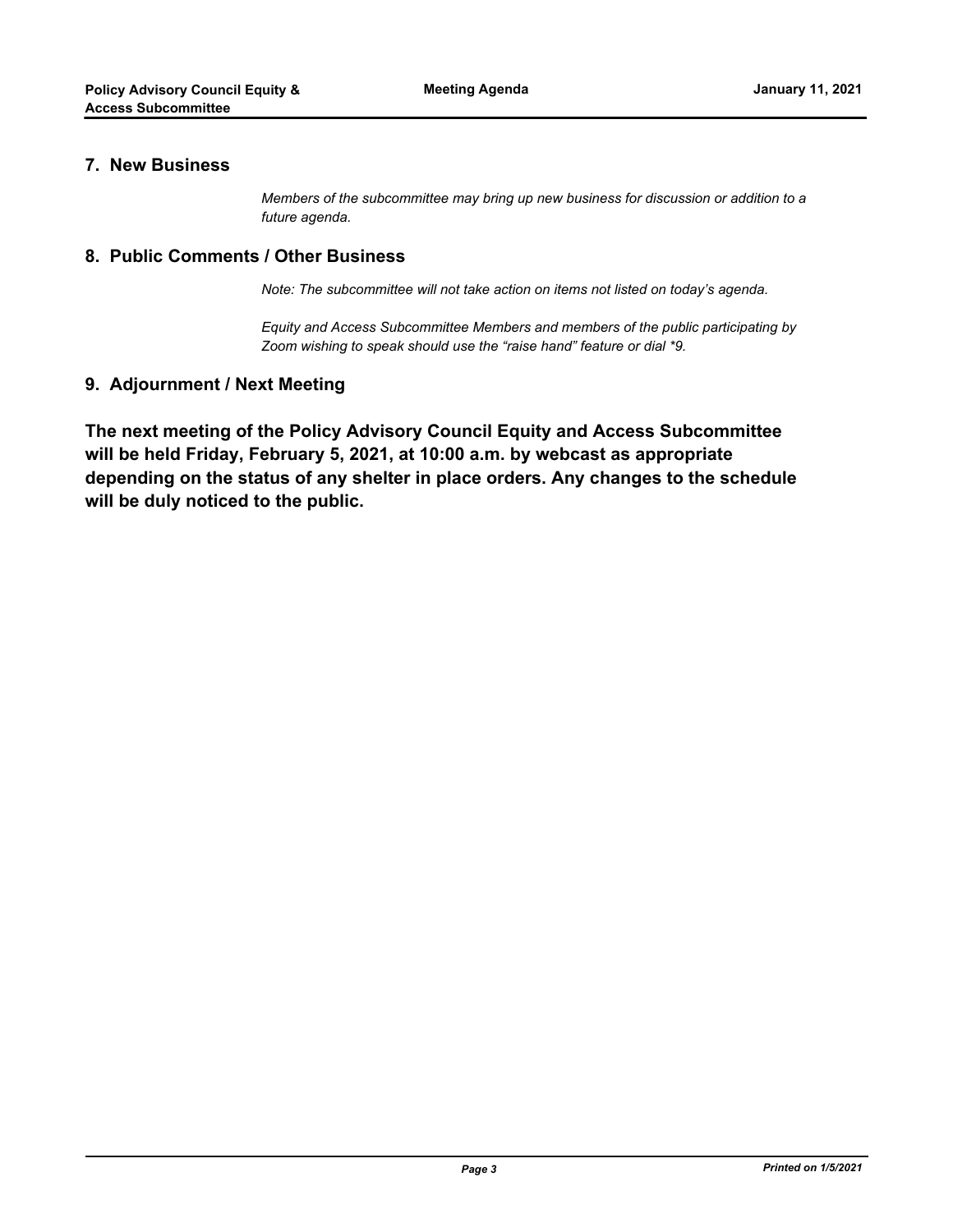#### **7. New Business**

*Members of the subcommittee may bring up new business for discussion or addition to a future agenda.*

#### **8. Public Comments / Other Business**

*Note: The subcommittee will not take action on items not listed on today's agenda.*

*Equity and Access Subcommittee Members and members of the public participating by Zoom wishing to speak should use the "raise hand" feature or dial \*9.*

#### **9. Adjournment / Next Meeting**

**The next meeting of the Policy Advisory Council Equity and Access Subcommittee will be held Friday, February 5, 2021, at 10:00 a.m. by webcast as appropriate depending on the status of any shelter in place orders. Any changes to the schedule will be duly noticed to the public.**